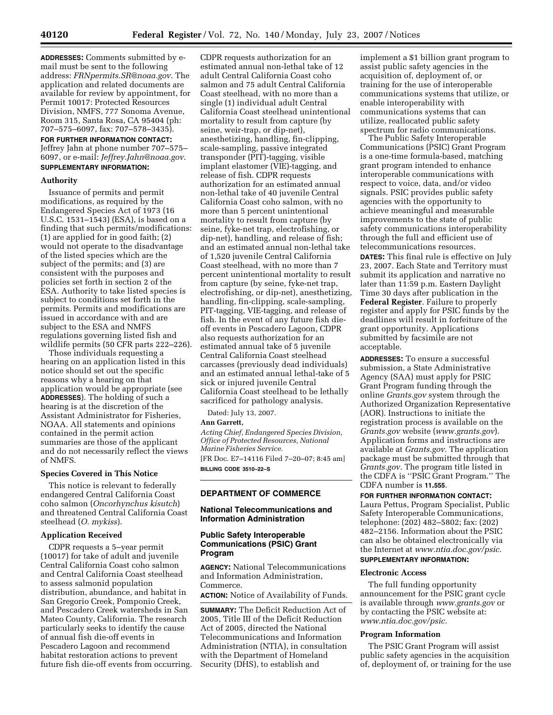**ADDRESSES:** Comments submitted by email must be sent to the following address: *FRNpermits.SR@noaa.gov*. The application and related documents are available for review by appointment, for Permit 10017: Protected Resources Division, NMFS, 777 Sonoma Avenue, Room 315, Santa Rosa, CA 95404 (ph: 707–575–6097, fax: 707–578–3435).

**FOR FURTHER INFORMATION CONTACT:**  Jeffrey Jahn at phone number 707–575– 6097, or e-mail: *Jeffrey.Jahn@noaa.gov*. **SUPPLEMENTARY INFORMATION:** 

#### **Authority**

Issuance of permits and permit modifications, as required by the Endangered Species Act of 1973 (16 U.S.C. 1531–1543) (ESA), is based on a finding that such permits/modifications: (1) are applied for in good faith; (2) would not operate to the disadvantage of the listed species which are the subject of the permits; and (3) are consistent with the purposes and policies set forth in section 2 of the ESA. Authority to take listed species is subject to conditions set forth in the permits. Permits and modifications are issued in accordance with and are subject to the ESA and NMFS regulations governing listed fish and wildlife permits (50 CFR parts 222–226).

Those individuals requesting a hearing on an application listed in this notice should set out the specific reasons why a hearing on that application would be appropriate (see **ADDRESSES**). The holding of such a hearing is at the discretion of the Assistant Administrator for Fisheries, NOAA. All statements and opinions contained in the permit action summaries are those of the applicant and do not necessarily reflect the views of NMFS.

## **Species Covered in This Notice**

This notice is relevant to federally endangered Central California Coast coho salmon (*Oncorhynchus kisutch*) and threatened Central California Coast steelhead (*O. mykiss*).

## **Application Received**

CDPR requests a 5–year permit (10017) for take of adult and juvenile Central California Coast coho salmon and Central California Coast steelhead to assess salmonid population distribution, abundance, and habitat in San Gregorio Creek, Pomponio Creek, and Pescadero Creek watersheds in San Mateo County, California. The research particularly seeks to identify the cause of annual fish die-off events in Pescadero Lagoon and recommend habitat restoration actions to prevent future fish die-off events from occurring.

CDPR requests authorization for an estimated annual non-lethal take of 12 adult Central California Coast coho salmon and 75 adult Central California Coast steelhead, with no more than a single (1) individual adult Central California Coast steelhead unintentional mortality to result from capture (by seine, weir-trap, or dip-net), anesthetizing, handling, fin-clipping, scale-sampling, passive integrated transponder (PIT)-tagging, visible implant elastomer (VIE)-tagging, and release of fish. CDPR requests authorization for an estimated annual non-lethal take of 40 juvenile Central California Coast coho salmon, with no more than 5 percent unintentional mortality to result from capture (by seine, fyke-net trap, electrofishing, or dip-net), handling, and release of fish; and an estimated annual non-lethal take of 1,520 juvenile Central California Coast steelhead, with no more than 7 percent unintentional mortality to result from capture (by seine, fyke-net trap, electrofishing, or dip-net), anesthetizing, handling, fin-clipping, scale-sampling, PIT-tagging, VIE-tagging, and release of fish. In the event of any future fish dieoff events in Pescadero Lagoon, CDPR also requests authorization for an estimated annual take of 5 juvenile Central California Coast steelhead carcasses (previously dead individuals) and an estimated annual lethal-take of 5 sick or injured juvenile Central California Coast steelhead to be lethally sacrificed for pathology analysis.

Dated: July 13, 2007.

#### **Ann Garrett,**

*Acting Chief, Endangered Species Division, Office of Protected Resources, National Marine Fisheries Service.* 

[FR Doc. E7–14116 Filed 7–20–07; 8:45 am] **BILLING CODE 3510–22–S** 

## **DEPARTMENT OF COMMERCE**

## **National Telecommunications and Information Administration**

### **Public Safety Interoperable Communications (PSIC) Grant Program**

**AGENCY:** National Telecommunications and Information Administration, Commerce.

**ACTION:** Notice of Availability of Funds.

**SUMMARY:** The Deficit Reduction Act of 2005, Title III of the Deficit Reduction Act of 2005, directed the National Telecommunications and Information Administration (NTIA), in consultation with the Department of Homeland Security (DHS), to establish and

implement a \$1 billion grant program to assist public safety agencies in the acquisition of, deployment of, or training for the use of interoperable communications systems that utilize, or enable interoperability with communications systems that can utilize, reallocated public safety spectrum for radio communications.

The Public Safety Interoperable Communications (PSIC) Grant Program is a one-time formula-based, matching grant program intended to enhance interoperable communications with respect to voice, data, and/or video signals. PSIC provides public safety agencies with the opportunity to achieve meaningful and measurable improvements to the state of public safety communications interoperability through the full and efficient use of telecommunications resources.

**DATES:** This final rule is effective on July 23, 2007. Each State and Territory must submit its application and narrative no later than 11:59 p.m. Eastern Daylight Time 30 days after publication in the **Federal Register**. Failure to properly register and apply for PSIC funds by the deadlines will result in forfeiture of the grant opportunity. Applications submitted by facsimile are not acceptable.

**ADDRESSES:** To ensure a successful submission, a State Administrative Agency (SAA) must apply for PSIC Grant Program funding through the online *Grants.gov* system through the Authorized Organization Representative (AOR). Instructions to initiate the registration process is available on the *Grants.gov* website (*www.grants.gov*). Application forms and instructions are available at *Grants.gov.* The application package must be submitted through that *Grants.gov.* The program title listed in the CDFA is ''PSIC Grant Program.'' The CDFA number is **11.555**.

**FOR FURTHER INFORMATION CONTACT:**  Laura Pettus, Program Specialist, Public Safety Interoperable Communications, telephone: (202) 482–5802; fax: (202) 482–2156. Information about the PSIC can also be obtained electronically via the Internet at *www.ntia.doc.gov/psic.*  **SUPPLEMENTARY INFORMATION:** 

#### **Electronic Access**

The full funding opportunity announcement for the PSIC grant cycle is available through *www.grants.gov* or by contacting the PSIC website at: *www.ntia.doc.gov/psic.* 

### **Program Information**

The PSIC Grant Program will assist public safety agencies in the acquisition of, deployment of, or training for the use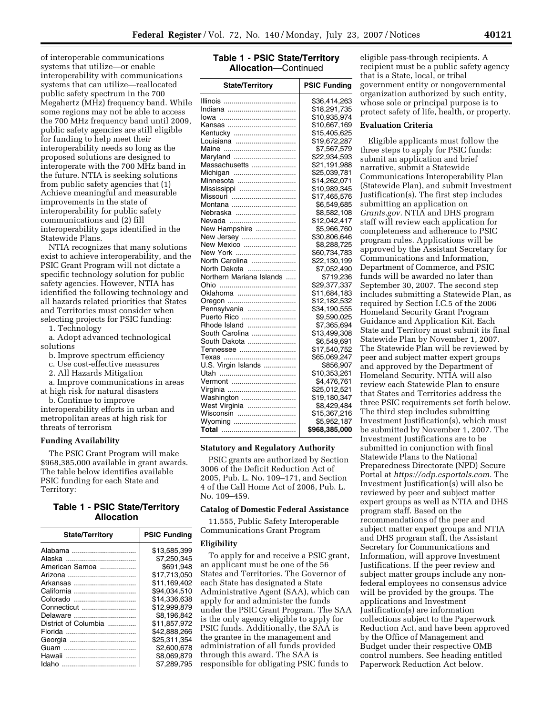of interoperable communications systems that utilize—or enable interoperability with communications systems that can utilize—reallocated public safety spectrum in the 700 Megahertz (MHz) frequency band. While some regions may not be able to access the 700 MHz frequency band until 2009, public safety agencies are still eligible for funding to help meet their interoperability needs so long as the proposed solutions are designed to interoperate with the 700 MHz band in the future. NTIA is seeking solutions from public safety agencies that (1) Achieve meaningful and measurable improvements in the state of interoperability for public safety communications and (2) fill interoperability gaps identified in the Statewide Plans.

NTIA recognizes that many solutions exist to achieve interoperability, and the PSIC Grant Program will not dictate a specific technology solution for public safety agencies. However, NTIA has identified the following technology and all hazards related priorities that States and Territories must consider when selecting projects for PSIC funding:

1. Technology

a. Adopt advanced technological solutions

b. Improve spectrum efficiency

- c. Use cost-effective measures
- 2. All Hazards Mitigation

a. Improve communications in areas at high risk for natural disasters

b. Continue to improve

interoperability efforts in urban and metropolitan areas at high risk for threats of terrorism

### **Funding Availability**

The PSIC Grant Program will make \$968,385,000 available in grant awards. The table below identifies available PSIC funding for each State and Territory:

## **Table 1 - PSIC State/Territory Allocation**

| <b>State/Territory</b> | <b>PSIC Funding</b> |
|------------------------|---------------------|
| Alabama                | \$13.585.399        |
|                        | \$7.250.345         |
| American Samoa         | \$691.948           |
|                        | \$17.713.050        |
| Arkansas               | \$11.169.402        |
| California             | \$94,034,510        |
| Colorado               | \$14.336.638        |
| Connecticut            | \$12.999.879        |
| Delaware               | \$8.196.842         |
| District of Columbia   | \$11.857.972        |
|                        | \$42.888.266        |
|                        | \$25.311.354        |
|                        | \$2,600.678         |
|                        | \$8.069.879         |
|                        | \$7.289.795         |

# **Table 1 - PSIC State/Territory Allocation**—Continued

| <b>State/Territory</b>   | <b>PSIC Funding</b> |
|--------------------------|---------------------|
|                          | \$36,414,263        |
|                          | \$18,291,735        |
|                          | \$10,935,974        |
|                          | \$10,667,169        |
| Kentucky                 | \$15,405,625        |
| Louisiana                | \$19,672,287        |
|                          | \$7,567,579         |
| Maryland                 | \$22,934,593        |
| Massachusetts            | \$21,191,988        |
| Michigan                 | \$25,039,781        |
| Minnesota                | \$14,262,071        |
| Mississippi              | \$10,989,345        |
| Missouri                 | \$17,465,576        |
| Montana                  | \$6,549,685         |
| Nebraska                 | \$8,582,108         |
| Nevada                   | \$12,042,417        |
| New Hampshire            | \$5,966,760         |
| New Jersey               | \$30,806,646        |
| New Mexico               | \$8,288,725         |
| New York                 | \$60,734,783        |
| North Carolina           | \$22,130,199        |
| North Dakota             | \$7,052,490         |
| Northern Mariana Islands | \$719,236           |
| Ohio<br>                 | \$29,377,337        |
| Oklahoma                 | \$11,684,183        |
| Oregon                   | \$12,182,532        |
| Pennsylvania             | \$34,190,555        |
| Puerto Rico              | \$9,590,025         |
| Rhode Island             | \$7,365,694         |
| South Carolina           | \$13,499,308        |
| South Dakota             | \$6,549,691         |
| Tennessee                | \$17,540,752        |
|                          | \$65,069,247        |
| U.S. Virgin Islands      | \$856,907           |
|                          | \$10,353,261        |
| Vermont                  | \$4,476,761         |
| Virginia                 | \$25,012,521        |
| Washington               | \$19,180,347        |
| West Virginia            | \$8,429,484         |
| Wisconsin                | \$15,367,216        |
| Wyoming                  | \$5,952,187         |
|                          | \$968,385,000       |

## **Statutory and Regulatory Authority**

PSIC grants are authorized by Section 3006 of the Deficit Reduction Act of 2005, Pub. L. No. 109–171, and Section 4 of the Call Home Act of 2006, Pub. L. No. 109–459.

### **Catalog of Domestic Federal Assistance**

11.555, Public Safety Interoperable Communications Grant Program

### **Eligibility**

To apply for and receive a PSIC grant, an applicant must be one of the 56 States and Territories. The Governor of each State has designated a State Administrative Agent (SAA), which can apply for and administer the funds under the PSIC Grant Program. The SAA is the only agency eligible to apply for PSIC funds. Additionally, the SAA is the grantee in the management and administration of all funds provided through this award. The SAA is responsible for obligating PSIC funds to

eligible pass-through recipients. A recipient must be a public safety agency that is a State, local, or tribal government entity or nongovernmental organization authorized by such entity, whose sole or principal purpose is to protect safety of life, health, or property.

#### **Evaluation Criteria**

Eligible applicants must follow the three steps to apply for PSIC funds: submit an application and brief narrative, submit a Statewide Communications Interoperability Plan (Statewide Plan), and submit Investment Justification(s). The first step includes submitting an application on *Grants.gov.* NTIA and DHS program staff will review each application for completeness and adherence to PSIC program rules. Applications will be approved by the Assistant Secretary for Communications and Information, Department of Commerce, and PSIC funds will be awarded no later than September 30, 2007. The second step includes submitting a Statewide Plan, as required by Section I.C.5 of the 2006 Homeland Security Grant Program Guidance and Application Kit. Each State and Territory must submit its final Statewide Plan by November 1, 2007. The Statewide Plan will be reviewed by peer and subject matter expert groups and approved by the Department of Homeland Security. NTIA will also review each Statewide Plan to ensure that States and Territories address the three PSIC requirements set forth below. The third step includes submitting Investment Justification(s), which must be submitted by November 1, 2007. The Investment Justifications are to be submitted in conjunction with final Statewide Plans to the National Preparedness Directorate (NPD) Secure Portal at *https://odp.esportals.com.* The Investment Justification(s) will also be reviewed by peer and subject matter expert groups as well as NTIA and DHS program staff. Based on the recommendations of the peer and subject matter expert groups and NTIA and DHS program staff, the Assistant Secretary for Communications and Information, will approve Investment Justifications. If the peer review and subject matter groups include any nonfederal employees no consensus advice will be provided by the groups. The applications and Investment Justification(s) are information collections subject to the Paperwork Reduction Act, and have been approved by the Office of Management and Budget under their respective OMB control numbers. See heading entitled Paperwork Reduction Act below.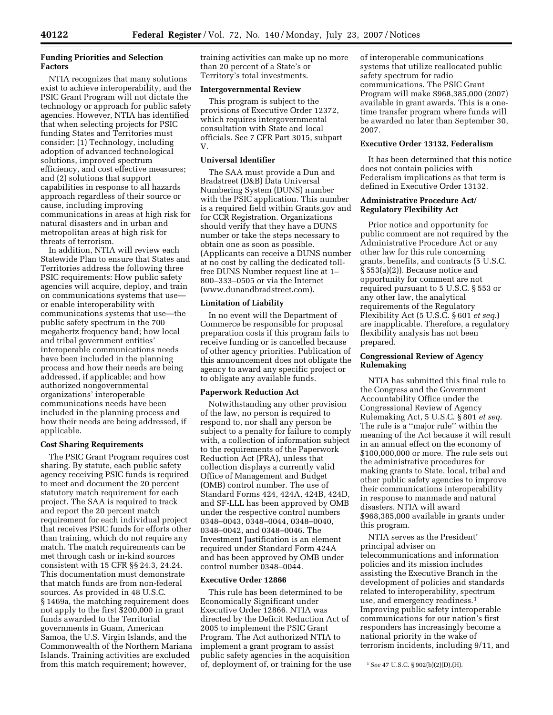## **Funding Priorities and Selection Factors**

NTIA recognizes that many solutions exist to achieve interoperability, and the PSIC Grant Program will not dictate the technology or approach for public safety agencies. However, NTIA has identified that when selecting projects for PSIC funding States and Territories must consider: (1) Technology, including adoption of advanced technological solutions, improved spectrum efficiency, and cost effective measures; and (2) solutions that support capabilities in response to all hazards approach regardless of their source or cause, including improving communications in areas at high risk for natural disasters and in urban and metropolitan areas at high risk for threats of terrorism.

In addition, NTIA will review each Statewide Plan to ensure that States and Territories address the following three PSIC requirements: How public safety agencies will acquire, deploy, and train on communications systems that use or enable interoperability with communications systems that use—the public safety spectrum in the 700 megahertz frequency band; how local and tribal government entities' interoperable communications needs have been included in the planning process and how their needs are being addressed, if applicable; and how authorized nongovernmental organizations' interoperable communications needs have been included in the planning process and how their needs are being addressed, if applicable.

### **Cost Sharing Requirements**

The PSIC Grant Program requires cost sharing. By statute, each public safety agency receiving PSIC funds is required to meet and document the 20 percent statutory match requirement for each project. The SAA is required to track and report the 20 percent match requirement for each individual project that receives PSIC funds for efforts other than training, which do not require any match. The match requirements can be met through cash or in-kind sources consistent with 15 CFR §§ 24.3, 24.24. This documentation must demonstrate that match funds are from non-federal sources. As provided in 48 U.S.C. § 1469a, the matching requirement does not apply to the first \$200,000 in grant funds awarded to the Territorial governments in Guam, American Samoa, the U.S. Virgin Islands, and the Commonwealth of the Northern Mariana Islands. Training activities are excluded from this match requirement; however,

training activities can make up no more than 20 percent of a State's or Territory's total investments.

#### **Intergovernmental Review**

This program is subject to the provisions of Executive Order 12372, which requires intergovernmental consultation with State and local officials. See 7 CFR Part 3015, subpart V.

### **Universal Identifier**

The SAA must provide a Dun and Bradstreet (D&B) Data Universal Numbering System (DUNS) number with the PSIC application. This number is a required field within Grants.gov and for CCR Registration. Organizations should verify that they have a DUNS number or take the steps necessary to obtain one as soon as possible. (Applicants can receive a DUNS number at no cost by calling the dedicated tollfree DUNS Number request line at 1– 800–333–0505 or via the Internet (www.dunandbradstreet.com).

## **Limitation of Liability**

In no event will the Department of Commerce be responsible for proposal preparation costs if this program fails to receive funding or is cancelled because of other agency priorities. Publication of this announcement does not obligate the agency to award any specific project or to obligate any available funds.

#### **Paperwork Reduction Act**

Notwithstanding any other provision of the law, no person is required to respond to, nor shall any person be subject to a penalty for failure to comply with, a collection of information subject to the requirements of the Paperwork Reduction Act (PRA), unless that collection displays a currently valid Office of Management and Budget (OMB) control number. The use of Standard Forms 424, 424A, 424B, 424D, and SF-LLL has been approved by OMB under the respective control numbers 0348–0043, 0348–0044, 0348–0040, 0348–0042, and 0348–0046. The Investment Justification is an element required under Standard Form 424A and has been approved by OMB under control number 0348–0044.

## **Executive Order 12866**

This rule has been determined to be Economically Significant under Executive Order 12866. NTIA was directed by the Deficit Reduction Act of 2005 to implement the PSIC Grant Program. The Act authorized NTIA to implement a grant program to assist public safety agencies in the acquisition of, deployment of, or training for the use of interoperable communications systems that utilize reallocated public safety spectrum for radio communications. The PSIC Grant Program will make \$968,385,000 (2007) available in grant awards. This is a onetime transfer program where funds will be awarded no later than September 30, 2007.

### **Executive Order 13132, Federalism**

It has been determined that this notice does not contain policies with Federalism implications as that term is defined in Executive Order 13132.

### **Administrative Procedure Act/ Regulatory Flexibility Act**

Prior notice and opportunity for public comment are not required by the Administrative Procedure Act or any other law for this rule concerning grants, benefits, and contracts (5 U.S.C. § 553(a)(2)). Because notice and opportunity for comment are not required pursuant to 5 U.S.C. § 553 or any other law, the analytical requirements of the Regulatory Flexibility Act (5 U.S.C. § 601 *et seq*.) are inapplicable. Therefore, a regulatory flexibility analysis has not been prepared.

## **Congressional Review of Agency Rulemaking**

NTIA has submitted this final rule to the Congress and the Government Accountability Office under the Congressional Review of Agency Rulemaking Act, 5 U.S.C. § 801 *et seq*. The rule is a ''major rule'' within the meaning of the Act because it will result in an annual effect on the economy of \$100,000,000 or more. The rule sets out the administrative procedures for making grants to State, local, tribal and other public safety agencies to improve their communications interoperability in response to manmade and natural disasters. NTIA will award \$968,385,000 available in grants under this program.

NTIA serves as the President' principal adviser on telecommunications and information policies and its mission includes assisting the Executive Branch in the development of policies and standards related to interoperability, spectrum use, and emergency readiness.1 Improving public safety interoperable communications for our nation's first responders has increasingly become a national priority in the wake of terrorism incidents, including 9/11, and

<sup>1</sup>*See* 47 U.S.C. § 902(b)(2)(D),(H).